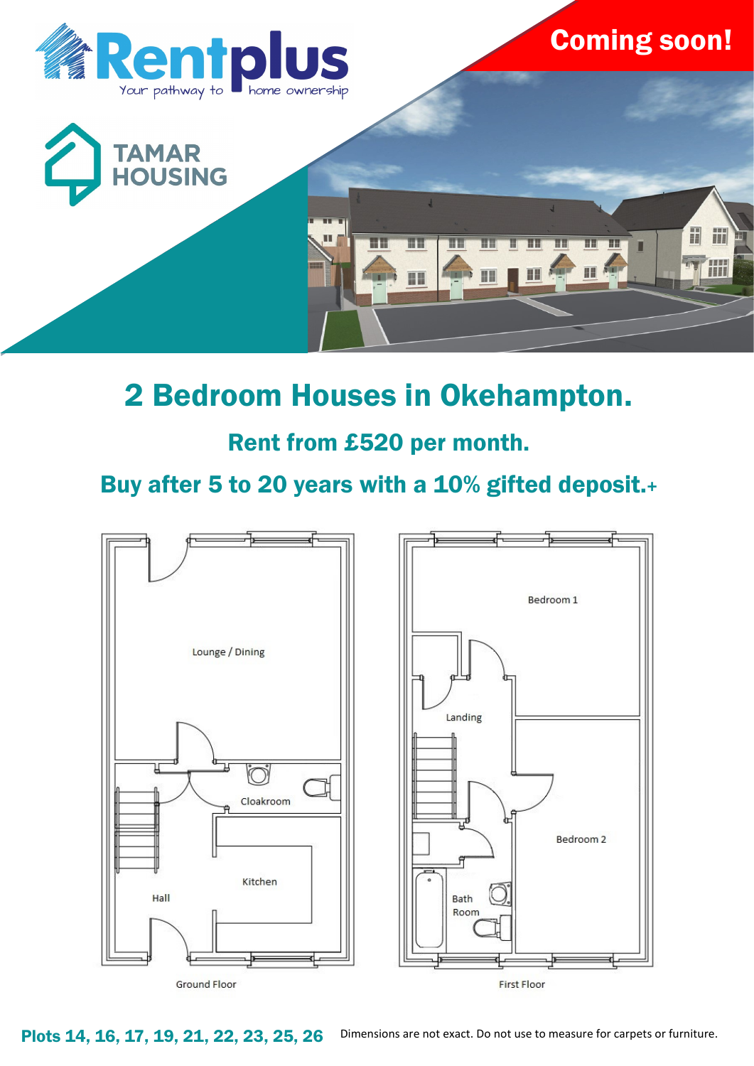

# 2 Bedroom Houses in Okehampton.

### Rent from £520 per month.

## Buy after 5 to 20 years with a 10% gifted deposit.+



Plots 14, 16, 17, 19, 21, 22, 23, 25, 26 Dimensions are not exact. Do not use to measure for carpets or furniture.